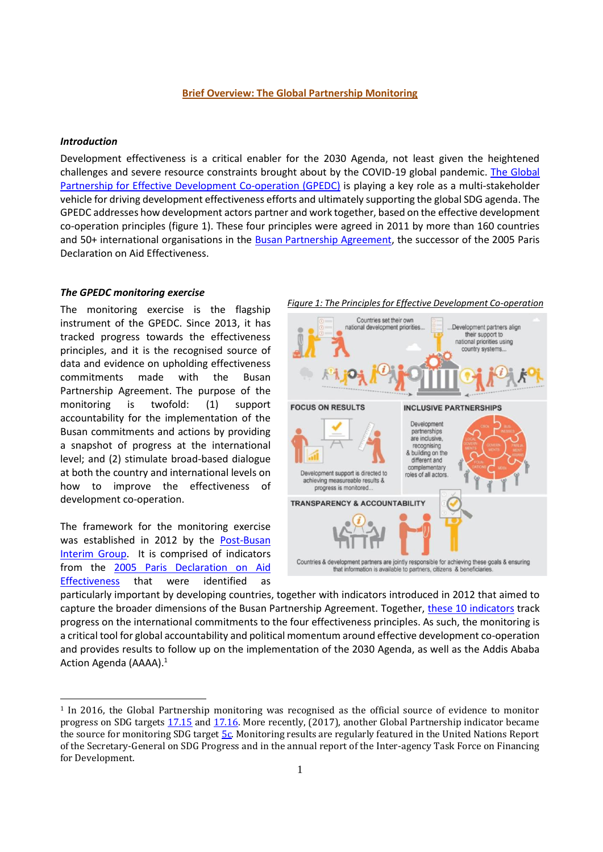## **Brief Overview: The Global Partnership Monitoring**

## *Introduction*

Development effectiveness is a critical enabler for the 2030 Agenda, not least given the heightened challenges and severe resource constraints brought about by the COVID-19 global pandemic. [The Global](https://www.effectivecooperation.org/landing-page/community-landing-page)  [Partnership for Effective Development Co-operation](https://www.effectivecooperation.org/landing-page/community-landing-page) (GPEDC) is playing a key role as a multi-stakeholder vehicle for driving development effectiveness efforts and ultimately supporting the global SDG agenda. The GPEDC addresses how development actors partner and work together, based on the effective development co-operation principles (figure 1). These four principles were agreed in 2011 by more than 160 countries and 50+ international organisations in the [Busan Partnership Agreement,](https://www.oecd.org/dac/effectiveness/49650173.pdf) the successor of the 2005 Paris Declaration on Aid Effectiveness.

## *The GPEDC monitoring exercise*

The monitoring exercise is the flagship instrument of the GPEDC. Since 2013, it has tracked progress towards the effectiveness principles, and it is the recognised source of data and evidence on upholding effectiveness commitments made with the Busan Partnership Agreement. The purpose of the monitoring is twofold: (1) support accountability for the implementation of the Busan commitments and actions by providing a snapshot of progress at the international level; and (2) stimulate broad-based dialogue at both the country and international levels on how to improve the effectiveness of development co-operation.

The framework for the monitoring exercise was established in 2012 by the Post-Busan [Interim Group.](http://www.oecd.org/officialdocuments/publicdisplaydocumentpdf/?cote=DCD/DAC/EFF(2012)1/REV1&docLanguage=En) It is comprised of indicators from the 2005 [Paris Declaration](https://www.oecd.org/dac/effectiveness/45827300.pdf) on Aid [Effectiveness](https://www.oecd.org/dac/effectiveness/45827300.pdf) that were identified as



particularly important by developing countries, together with indicators introduced in 2012 that aimed to capture the broader dimensions of the Busan Partnership Agreement. Together, [these 10 indicators](https://www.effectivecooperation.org/system/files/2020-11/Global%20Partnership%20Monitoring_Indicator%20Framework.pdf) track progress on the international commitments to the four effectiveness principles. As such, the monitoring is a critical tool for global accountability and political momentum around effective development co-operation and provides results to follow up on the implementation of the 2030 Agenda, as well as the Addis Ababa Action Agenda (AAAA).<sup>1</sup>

<sup>1</sup> In 2016, the Global Partnership monitoring was recognised as the official source of evidence to monitor progress on SDG targets [17.15](https://unstats.un.org/sdgs/metadata/?Text=&Goal=17&Target=17.15) and [17.16.](https://unstats.un.org/sdgs/metadata/?Text=&Goal=17&Target=17.16) More recently, (2017), another Global Partnership indicator became the source for monitoring SDG target **5c**. Monitoring results are regularly featured in the United Nations Report of the Secretary-General on SDG Progress and in the annual report of the Inter-agency Task Force on Financing for Development.